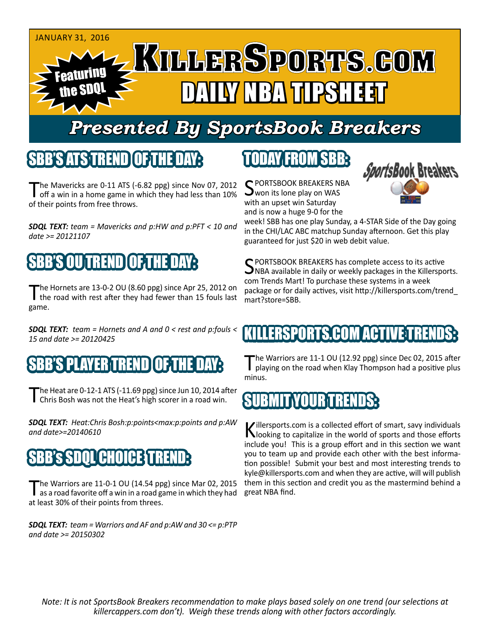

## *Presented By SportsBook Breakers*

#### SBB'S ATSTREND

The Mavericks are 0-11 ATS (-6.82 ppg) since Nov 07, 2012<br>
off a win in a home game in which they had less than 10% of their points from free throws.

*SDQL TEXT: team = Mavericks and p:HW and p:PFT < 10 and date >= 20121107*

## 'S OUTREND

The Hornets are 13-0-2 OU (8.60 ppg) since Apr 25, 2012 on the road with rest after they had fewer than 15 fouls last game.

*SDQL TEXT: team = Hornets and A and 0 < rest and p:fouls < 15 and date >= 20120425*

### SBB'S PLAYER TREND

The Heat are 0-12-1 ATS (-11.69 ppg) since Jun 10, 2014 after<br>
Chris Bosh was not the Heat's high scorer in a road win.

*SDQL TEXT: Heat:Chris Bosh:p:points<max:p:points and p:AW and date>=20140610*

### **ICHOICEST**

The Warriors are 11-0-1 OU (14.54 ppg) since Mar 02, 2015<br>as a road favorite off a win in a road game in which they had at least 30% of their points from threes.

*SDQL TEXT: team = Warriors and AF and p:AW and 30 <= p:PTP and date >= 20150302*

## TODAY FROM SBB:

C PORTSBOOK BREAKERS NBA won its lone play on WAS with an upset win Saturday and is now a huge 9-0 for the



week! SBB has one play Sunday, a 4-STAR Side of the Day going in the CHI/LAC ABC matchup Sunday afternoon. Get this play guaranteed for just \$20 in web debit value.

C PORTSBOOK BREAKERS has complete access to its active  $\Box$ NBA available in daily or weekly packages in the Killersports. com Trends Mart! To purchase these systems in a week package or for daily actives, visit http://killersports.com/trend\_ mart?store=SBB.

### ILLERSPORTS.COM ACTIVE:T

The Warriors are 11-1 OU (12.92 ppg) since Dec 02, 2015 after playing on the road when Klay Thompson had a positive plus minus.

### SUBMIT YOUR TREND

Killersports.com is a collected effort of smart, savy individuals<br>Nooking to capitalize in the world of sports and those efforts include you! This is a group effort and in this section we want you to team up and provide each other with the best information possible! Submit your best and most interesting trends to kyle@killersports.com and when they are active, will will publish them in this section and credit you as the mastermind behind a great NBA find.

*Note: It is not SportsBook Breakers recommendation to make plays based solely on one trend (our selections at killercappers.com don't). Weigh these trends along with other factors accordingly.*